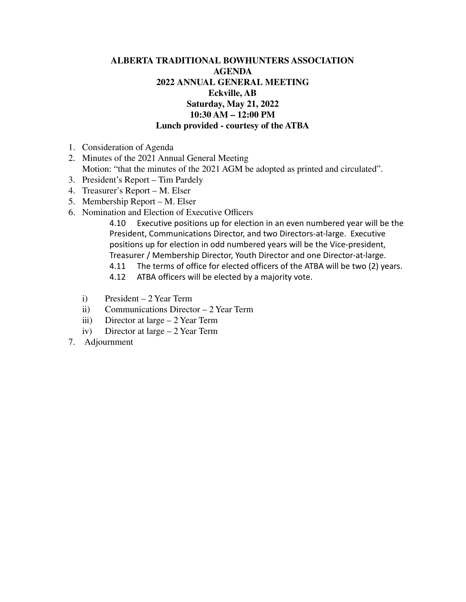## **ALBERTA TRADITIONAL BOWHUNTERS ASSOCIATION AGENDA 2022 ANNUAL GENERAL MEETING Eckville, AB Saturday, May 21, 2022 10:30 AM – 12:00 PM Lunch provided - courtesy of the ATBA**

- 1. Consideration of Agenda
- 2. Minutes of the 2021 Annual General Meeting Motion: "that the minutes of the 2021 AGM be adopted as printed and circulated".
- 3. President's Report Tim Pardely
- 4. Treasurer's Report M. Elser
- 5. Membership Report M. Elser
- 6. Nomination and Election of Executive Officers

4.10 Executive positions up for election in an even numbered year will be the President, Communications Director, and two Directors-at-large. Executive positions up for election in odd numbered years will be the Vice-president, Treasurer / Membership Director, Youth Director and one Director-at-large.

- 4.11 The terms of office for elected officers of the ATBA will be two (2) years.
- 4.12 ATBA officers will be elected by a majority vote.
- i) President 2 Year Term
- ii) Communications Director 2 Year Term
- iii) Director at large 2 Year Term
- iv) Director at large 2 Year Term
- 7. Adjournment